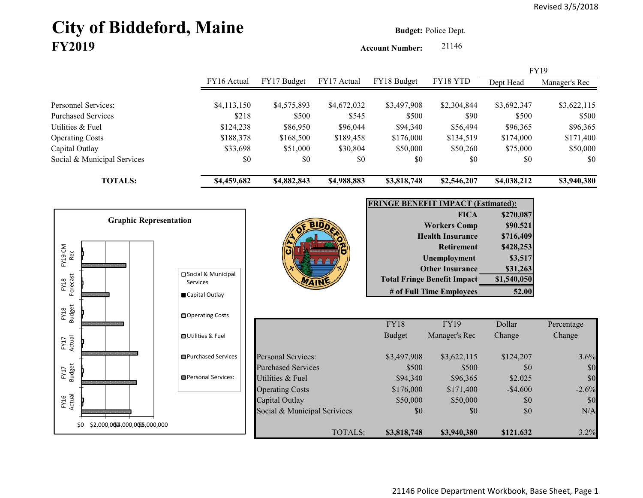# **City of Biddeford, Maine Budget: Police Dept. FY2019**

**Account Number:** 21146

|                             |             |             |             |             |             |             | <b>FY19</b>   |
|-----------------------------|-------------|-------------|-------------|-------------|-------------|-------------|---------------|
|                             | FY16 Actual | FY17 Budget | FY17 Actual | FY18 Budget | FY18 YTD    | Dept Head   | Manager's Rec |
|                             |             |             |             |             |             |             |               |
| Personnel Services:         | \$4,113,150 | \$4,575,893 | \$4,672,032 | \$3,497,908 | \$2,304,844 | \$3,692,347 | \$3,622,115   |
| <b>Purchased Services</b>   | \$218       | \$500       | \$545       | \$500       | \$90        | \$500       | \$500         |
| Utilities & Fuel            | \$124,238   | \$86,950    | \$96,044    | \$94,340    | \$56,494    | \$96,365    | \$96,365      |
| <b>Operating Costs</b>      | \$188,378   | \$168,500   | \$189,458   | \$176,000   | \$134,519   | \$174,000   | \$171,400     |
| Capital Outlay              | \$33,698    | \$51,000    | \$30,804    | \$50,000    | \$50,260    | \$75,000    | \$50,000      |
| Social & Municipal Services | \$0         | \$0         | \$0         | \$0         | \$0         | \$0         | \$0           |
| <b>TOTALS:</b>              | \$4,459,682 | \$4,882,843 | \$4,988,883 | \$3,818,748 | \$2,546,207 | \$4,038,212 | \$3,940,380   |

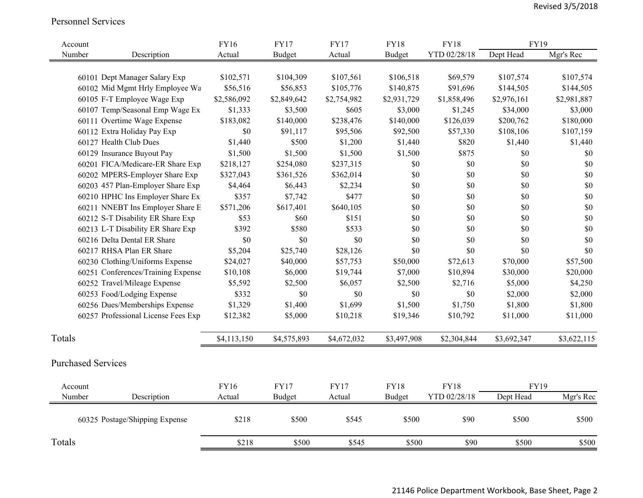#### Personnel Services

| Account |                                     | FY16        | <b>FY17</b>   | <b>FY17</b> | <b>FY18</b>   | <b>FY18</b>  | <b>FY19</b> |             |
|---------|-------------------------------------|-------------|---------------|-------------|---------------|--------------|-------------|-------------|
| Number  | Description                         | Actual      | <b>Budget</b> | Actual      | <b>Budget</b> | YTD 02/28/18 | Dept Head   | Mgr's Rec   |
|         |                                     |             |               |             |               |              |             |             |
|         | 60101 Dept Manager Salary Exp       | \$102,571   | \$104,309     | \$107,561   | \$106,518     | \$69,579     | \$107,574   | \$107,574   |
|         | 60102 Mid Mgmt Hrly Employee Wa     | \$56,516    | \$56,853      | \$105,776   | \$140,875     | \$91,696     | \$144,505   | \$144,505   |
|         | 60105 F-T Employee Wage Exp         | \$2,586,092 | \$2,849,642   | \$2,754,982 | \$2,931,729   | \$1,858,496  | \$2,976,161 | \$2,981,887 |
|         | 60107 Temp/Seasonal Emp Wage Ex     | \$1,333     | \$3,500       | \$605       | \$3,000       | \$1,245      | \$34,000    | \$3,000     |
|         | 60111 Overtime Wage Expense         | \$183,082   | \$140,000     | \$238,476   | \$140,000     | \$126,039    | \$200,762   | \$180,000   |
|         | 60112 Extra Holiday Pay Exp         | \$0         | \$91,117      | \$95,506    | \$92,500      | \$57,330     | \$108,106   | \$107,159   |
|         | 60127 Health Club Dues              | \$1,440     | \$500         | \$1,200     | \$1,440       | \$820        | \$1,440     | \$1,440     |
|         | 60129 Insurance Buyout Pay          | \$1,500     | \$1,500       | \$1,500     | \$1,500       | \$875        | $\$0$       | \$0         |
|         | 60201 FICA/Medicare-ER Share Exp    | \$218,127   | \$254,080     | \$237,315   | \$0           | $\$0$        | $\$0$       | \$0         |
|         | 60202 MPERS-Employer Share Exp      | \$327,043   | \$361,526     | \$362,014   | $\$0$         | \$0          | $\$0$       | \$0         |
|         | 60203 457 Plan-Employer Share Exp   | \$4,464     | \$6,443       | \$2,234     | $\$0$         | \$0          | $\$0$       | $\$0$       |
|         | 60210 HPHC Ins Employer Share Ex    | \$357       | \$7,742       | \$477       | \$0           | \$0          | $\$0$       | $\$0$       |
|         | 60211 NNEBT Ins Employer Share E    | \$571,206   | \$617,401     | \$640,105   | $\$0$         | \$0          | \$0         | \$0         |
|         | 60212 S-T Disability ER Share Exp   | \$53        | \$60          | \$151       | \$0           | \$0          | \$0         | \$0         |
|         | 60213 L-T Disability ER Share Exp   | \$392       | \$580         | \$533       | \$0           | \$0          | \$0         | \$0         |
|         | 60216 Delta Dental ER Share         | \$0         | \$0           | \$0         | \$0           | \$0          | \$0         | \$0         |
|         | 60217 RHSA Plan ER Share            | \$5,204     | \$25,740      | \$28,126    | \$0           | \$0          | \$0         | \$0         |
|         | 60230 Clothing/Uniforms Expense     | \$24,027    | \$40,000      | \$57,753    | \$50,000      | \$72,613     | \$70,000    | \$57,500    |
|         | 60251 Conferences/Training Expense  | \$10,108    | \$6,000       | \$19,744    | \$7,000       | \$10,894     | \$30,000    | \$20,000    |
|         | 60252 Travel/Mileage Expense        | \$5,592     | \$2,500       | \$6,057     | \$2,500       | \$2,716      | \$5,000     | \$4,250     |
|         | 60253 Food/Lodging Expense          | \$332       | $\$0$         | $\$0$       | \$0           | $\$0$        | \$2,000     | \$2,000     |
|         | 60256 Dues/Memberships Expense      | \$1,329     | \$1,400       | \$1,699     | \$1,500       | \$1,750      | \$1,800     | \$1,800     |
|         | 60257 Professional License Fees Exp | \$12,382    | \$5,000       | \$10,218    | \$19,346      | \$10,792     | \$11,000    | \$11,000    |
| Totals  |                                     | \$4,113,150 | \$4,575,893   | \$4,672,032 | \$3,497,908   | \$2,304,844  | \$3,692,347 | \$3,622,115 |
|         | <b>Purchased Services</b>           |             |               |             |               |              |             |             |
|         |                                     |             |               |             |               |              |             |             |
| Account |                                     | FY16        | <b>FY17</b>   | <b>FY17</b> | <b>FY18</b>   | <b>FY18</b>  | <b>FY19</b> |             |
| Number  | Description                         | Actual      | <b>Budget</b> | Actual      | <b>Budget</b> | YTD 02/28/18 | Dept Head   | Mgr's Rec   |
|         | 60325 Postage/Shipping Expense      | \$218       | \$500         | \$545       | \$500         | \$90         | \$500       | \$500       |
| Totals  |                                     | \$218       | \$500         | \$545       | \$500         | \$90         | \$500       | \$500       |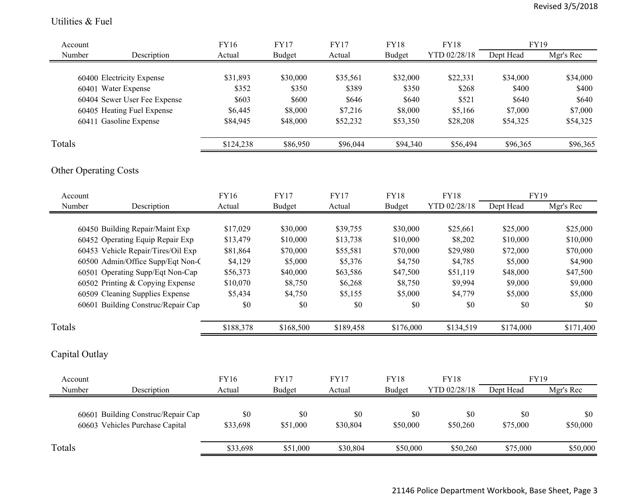#### Utilities & Fuel

| Account           |                                                  | <b>FY16</b>           | <b>FY17</b>                  | <b>FY17</b>           | <b>FY18</b>                  | <b>FY18</b>                 | <b>FY19</b>              |           |
|-------------------|--------------------------------------------------|-----------------------|------------------------------|-----------------------|------------------------------|-----------------------------|--------------------------|-----------|
| Number            | Description                                      | Actual                | <b>Budget</b>                | Actual                | <b>Budget</b>                | YTD 02/28/18                | Dept Head                | Mgr's Rec |
|                   |                                                  | \$31,893              | \$30,000                     | \$35,561              | \$32,000                     | \$22,331                    | \$34,000                 | \$34,000  |
|                   | 60400 Electricity Expense<br>60401 Water Expense | \$352                 | \$350                        | \$389                 | \$350                        | \$268                       | \$400                    | \$400     |
|                   | 60404 Sewer User Fee Expense                     | \$603                 | \$600                        | \$646                 | \$640                        | \$521                       | \$640                    | \$640     |
|                   | 60405 Heating Fuel Expense                       | \$6,445               | \$8,000                      | \$7,216               | \$8,000                      | \$5,166                     | \$7,000                  | \$7,000   |
|                   | 60411 Gasoline Expense                           | \$84,945              | \$48,000                     | \$52,232              | \$53,350                     | \$28,208                    | \$54,325                 | \$54,325  |
|                   |                                                  |                       |                              |                       |                              |                             |                          |           |
| Totals            |                                                  | \$124,238             | \$86,950                     | \$96,044              | \$94,340                     | \$56,494                    | \$96,365                 | \$96,365  |
|                   | <b>Other Operating Costs</b>                     |                       |                              |                       |                              |                             |                          |           |
| Account           |                                                  | FY16                  | <b>FY17</b>                  | <b>FY17</b>           | <b>FY18</b>                  | <b>FY18</b>                 | <b>FY19</b>              |           |
| Number            | Description                                      | Actual                | <b>Budget</b>                | Actual                | <b>Budget</b>                | YTD 02/28/18                | Dept Head                | Mgr's Rec |
|                   |                                                  |                       |                              |                       |                              |                             |                          |           |
|                   | 60450 Building Repair/Maint Exp                  | \$17,029              | \$30,000                     | \$39,755              | \$30,000                     | \$25,661                    | \$25,000                 | \$25,000  |
|                   | 60452 Operating Equip Repair Exp                 | \$13,479              | \$10,000                     | \$13,738              | \$10,000                     | \$8,202                     | \$10,000                 | \$10,000  |
|                   | 60453 Vehicle Repair/Tires/Oil Exp               | \$81,864              | \$70,000                     | \$55,581              | \$70,000                     | \$29,980                    | \$72,000                 | \$70,000  |
|                   | 60500 Admin/Office Supp/Eqt Non-C                | \$4,129               | \$5,000                      | \$5,376               | \$4,750                      | \$4,785                     | \$5,000                  | \$4,900   |
|                   | 60501 Operating Supp/Eqt Non-Cap                 | \$56,373              | \$40,000                     | \$63,586              | \$47,500                     | \$51,119                    | \$48,000                 | \$47,500  |
|                   | 60502 Printing & Copying Expense                 | \$10,070              | \$8,750                      | \$6,268               | \$8,750                      | \$9,994                     | \$9,000                  | \$9,000   |
|                   | 60509 Cleaning Supplies Expense                  | \$5,434               | \$4,750                      | \$5,155               | \$5,000                      | \$4,779                     | \$5,000                  | \$5,000   |
|                   | 60601 Building Construc/Repair Cap               | \$0                   | \$0                          | \$0                   | \$0                          | \$0                         | \$0                      | \$0       |
| Totals            |                                                  | \$188,378             | \$168,500                    | \$189,458             | \$176,000                    | \$134,519                   | \$174,000                | \$171,400 |
|                   | Capital Outlay                                   |                       |                              |                       |                              |                             |                          |           |
|                   |                                                  |                       |                              |                       |                              |                             |                          |           |
| Account<br>Number | Description                                      | <b>FY16</b><br>Actual | <b>FY17</b><br><b>Budget</b> | <b>FY17</b><br>Actual | <b>FY18</b><br><b>Budget</b> | <b>FY18</b><br>YTD 02/28/18 | <b>FY19</b><br>Dept Head | Mgr's Rec |
|                   |                                                  |                       |                              |                       |                              |                             |                          |           |
|                   | 60601 Building Construc/Repair Cap               | $\$0$                 | \$0                          | \$0                   | \$0                          | \$0                         | \$0                      | \$0       |
|                   | 60603 Vehicles Purchase Capital                  | \$33,698              | \$51,000                     | \$30,804              | \$50,000                     | \$50,260                    | \$75,000                 | \$50,000  |
|                   |                                                  |                       |                              |                       |                              |                             |                          |           |
| Totals            |                                                  | \$33,698              | \$51,000                     | \$30,804              | \$50,000                     | \$50,260                    | \$75,000                 | \$50,000  |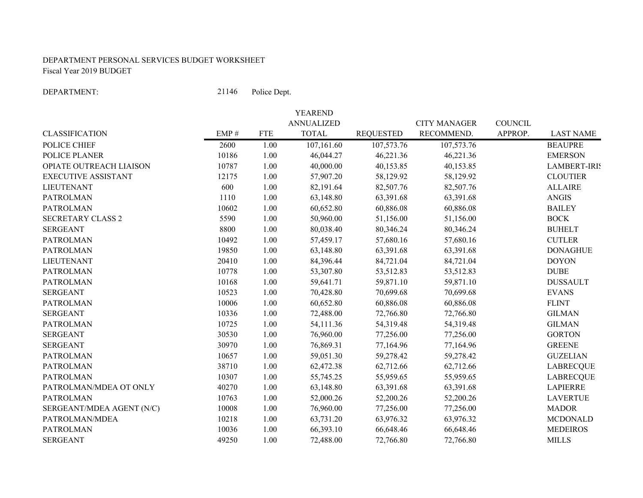#### DEPARTMENT PERSONAL SERVICES BUDGET WORKSHEETFiscal Year 2019 BUDGET

DEPARTMENT:

21146 Police Dept.

|                            |       |            | YEAREND           |                  |                     |                |                     |
|----------------------------|-------|------------|-------------------|------------------|---------------------|----------------|---------------------|
|                            |       |            | <b>ANNUALIZED</b> |                  | <b>CITY MANAGER</b> | <b>COUNCIL</b> |                     |
| <b>CLASSIFICATION</b>      | EMP#  | <b>FTE</b> | <b>TOTAL</b>      | <b>REQUESTED</b> | RECOMMEND.          | APPROP.        | <b>LAST NAME</b>    |
| POLICE CHIEF               | 2600  | 1.00       | 107, 161.60       | 107,573.76       | 107,573.76          |                | <b>BEAUPRE</b>      |
| POLICE PLANER              | 10186 | 1.00       | 46,044.27         | 46,221.36        | 46,221.36           |                | <b>EMERSON</b>      |
| OPIATE OUTREACH LIAISON    | 10787 | 1.00       | 40,000.00         | 40,153.85        | 40,153.85           |                | <b>LAMBERT-IRIS</b> |
| <b>EXECUTIVE ASSISTANT</b> | 12175 | 1.00       | 57,907.20         | 58,129.92        | 58,129.92           |                | <b>CLOUTIER</b>     |
| <b>LIEUTENANT</b>          | 600   | 1.00       | 82,191.64         | 82,507.76        | 82,507.76           |                | <b>ALLAIRE</b>      |
| <b>PATROLMAN</b>           | 1110  | 1.00       | 63,148.80         | 63,391.68        | 63,391.68           |                | <b>ANGIS</b>        |
| <b>PATROLMAN</b>           | 10602 | 1.00       | 60,652.80         | 60,886.08        | 60,886.08           |                | <b>BAILEY</b>       |
| <b>SECRETARY CLASS 2</b>   | 5590  | 1.00       | 50,960.00         | 51,156.00        | 51,156.00           |                | <b>BOCK</b>         |
| <b>SERGEANT</b>            | 8800  | 1.00       | 80,038.40         | 80,346.24        | 80,346.24           |                | <b>BUHELT</b>       |
| <b>PATROLMAN</b>           | 10492 | 1.00       | 57,459.17         | 57,680.16        | 57,680.16           |                | <b>CUTLER</b>       |
| <b>PATROLMAN</b>           | 19850 | 1.00       | 63,148.80         | 63,391.68        | 63,391.68           |                | <b>DONAGHUE</b>     |
| <b>LIEUTENANT</b>          | 20410 | 1.00       | 84,396.44         | 84,721.04        | 84,721.04           |                | <b>DOYON</b>        |
| <b>PATROLMAN</b>           | 10778 | 1.00       | 53,307.80         | 53,512.83        | 53,512.83           |                | <b>DUBE</b>         |
| <b>PATROLMAN</b>           | 10168 | 1.00       | 59,641.71         | 59,871.10        | 59,871.10           |                | <b>DUSSAULT</b>     |
| <b>SERGEANT</b>            | 10523 | 1.00       | 70,428.80         | 70,699.68        | 70,699.68           |                | <b>EVANS</b>        |
| <b>PATROLMAN</b>           | 10006 | 1.00       | 60,652.80         | 60,886.08        | 60,886.08           |                | <b>FLINT</b>        |
| <b>SERGEANT</b>            | 10336 | 1.00       | 72,488.00         | 72,766.80        | 72,766.80           |                | <b>GILMAN</b>       |
| <b>PATROLMAN</b>           | 10725 | 1.00       | 54,111.36         | 54,319.48        | 54,319.48           |                | <b>GILMAN</b>       |
| <b>SERGEANT</b>            | 30530 | 1.00       | 76,960.00         | 77,256.00        | 77,256.00           |                | <b>GORTON</b>       |
| <b>SERGEANT</b>            | 30970 | 1.00       | 76,869.31         | 77,164.96        | 77,164.96           |                | <b>GREENE</b>       |
| <b>PATROLMAN</b>           | 10657 | 1.00       | 59,051.30         | 59,278.42        | 59,278.42           |                | <b>GUZELIAN</b>     |
| <b>PATROLMAN</b>           | 38710 | 1.00       | 62,472.38         | 62,712.66        | 62,712.66           |                | <b>LABRECQUE</b>    |
| <b>PATROLMAN</b>           | 10307 | 1.00       | 55,745.25         | 55,959.65        | 55,959.65           |                | <b>LABRECQUE</b>    |
| PATROLMAN/MDEA OT ONLY     | 40270 | 1.00       | 63,148.80         | 63,391.68        | 63,391.68           |                | <b>LAPIERRE</b>     |
| <b>PATROLMAN</b>           | 10763 | 1.00       | 52,000.26         | 52,200.26        | 52,200.26           |                | <b>LAVERTUE</b>     |
| SERGEANT/MDEA AGENT (N/C)  | 10008 | 1.00       | 76,960.00         | 77,256.00        | 77,256.00           |                | <b>MADOR</b>        |
| PATROLMAN/MDEA             | 10218 | 1.00       | 63,731.20         | 63,976.32        | 63,976.32           |                | <b>MCDONALD</b>     |
| <b>PATROLMAN</b>           | 10036 | 1.00       | 66,393.10         | 66,648.46        | 66,648.46           |                | <b>MEDEIROS</b>     |
| <b>SERGEANT</b>            | 49250 | 1.00       | 72,488.00         | 72,766.80        | 72,766.80           |                | <b>MILLS</b>        |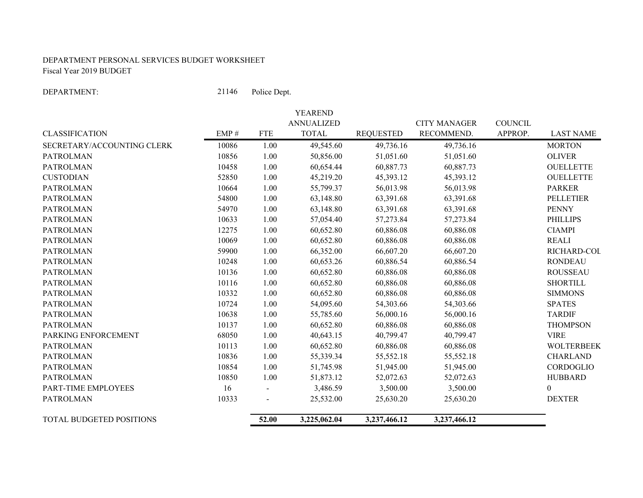#### DEPARTMENT PERSONAL SERVICES BUDGET WORKSHEET Fiscal Year 2019 BUDGET

DEPARTMENT:

21146 Police Dept.

|                            |       |                | <b>YEAREND</b>    |                  |                     |                |                   |
|----------------------------|-------|----------------|-------------------|------------------|---------------------|----------------|-------------------|
|                            |       |                | <b>ANNUALIZED</b> |                  | <b>CITY MANAGER</b> | <b>COUNCIL</b> |                   |
| <b>CLASSIFICATION</b>      | EMP#  | <b>FTE</b>     | <b>TOTAL</b>      | <b>REQUESTED</b> | RECOMMEND.          | APPROP.        | <b>LAST NAME</b>  |
| SECRETARY/ACCOUNTING CLERK | 10086 | 1.00           | 49,545.60         | 49,736.16        | 49,736.16           |                | <b>MORTON</b>     |
| <b>PATROLMAN</b>           | 10856 | 1.00           | 50,856.00         | 51,051.60        | 51,051.60           |                | <b>OLIVER</b>     |
| <b>PATROLMAN</b>           | 10458 | 1.00           | 60,654.44         | 60,887.73        | 60,887.73           |                | <b>OUELLETTE</b>  |
| <b>CUSTODIAN</b>           | 52850 | 1.00           | 45,219.20         | 45,393.12        | 45,393.12           |                | <b>OUELLETTE</b>  |
| <b>PATROLMAN</b>           | 10664 | 1.00           | 55,799.37         | 56,013.98        | 56,013.98           |                | <b>PARKER</b>     |
| <b>PATROLMAN</b>           | 54800 | 1.00           | 63,148.80         | 63,391.68        | 63,391.68           |                | <b>PELLETIER</b>  |
| <b>PATROLMAN</b>           | 54970 | 1.00           | 63,148.80         | 63,391.68        | 63,391.68           |                | <b>PENNY</b>      |
| <b>PATROLMAN</b>           | 10633 | 1.00           | 57,054.40         | 57,273.84        | 57,273.84           |                | <b>PHILLIPS</b>   |
| <b>PATROLMAN</b>           | 12275 | 1.00           | 60,652.80         | 60,886.08        | 60,886.08           |                | <b>CIAMPI</b>     |
| <b>PATROLMAN</b>           | 10069 | 1.00           | 60,652.80         | 60,886.08        | 60,886.08           |                | <b>REALI</b>      |
| <b>PATROLMAN</b>           | 59900 | 1.00           | 66,352.00         | 66,607.20        | 66,607.20           |                | RICHARD-COL       |
| <b>PATROLMAN</b>           | 10248 | 1.00           | 60,653.26         | 60,886.54        | 60,886.54           |                | <b>RONDEAU</b>    |
| <b>PATROLMAN</b>           | 10136 | 1.00           | 60,652.80         | 60,886.08        | 60,886.08           |                | <b>ROUSSEAU</b>   |
| <b>PATROLMAN</b>           | 10116 | 1.00           | 60,652.80         | 60,886.08        | 60,886.08           |                | <b>SHORTILL</b>   |
| <b>PATROLMAN</b>           | 10332 | 1.00           | 60,652.80         | 60,886.08        | 60,886.08           |                | <b>SIMMONS</b>    |
| <b>PATROLMAN</b>           | 10724 | 1.00           | 54,095.60         | 54,303.66        | 54,303.66           |                | <b>SPATES</b>     |
| <b>PATROLMAN</b>           | 10638 | 1.00           | 55,785.60         | 56,000.16        | 56,000.16           |                | <b>TARDIF</b>     |
| <b>PATROLMAN</b>           | 10137 | 1.00           | 60,652.80         | 60,886.08        | 60,886.08           |                | <b>THOMPSON</b>   |
| PARKING ENFORCEMENT        | 68050 | 1.00           | 40,643.15         | 40,799.47        | 40,799.47           |                | <b>VIRE</b>       |
| <b>PATROLMAN</b>           | 10113 | 1.00           | 60,652.80         | 60,886.08        | 60,886.08           |                | <b>WOLTERBEEK</b> |
| <b>PATROLMAN</b>           | 10836 | 1.00           | 55,339.34         | 55,552.18        | 55,552.18           |                | <b>CHARLAND</b>   |
| <b>PATROLMAN</b>           | 10854 | 1.00           | 51,745.98         | 51,945.00        | 51,945.00           |                | CORDOGLIO         |
| <b>PATROLMAN</b>           | 10850 | 1.00           | 51,873.12         | 52,072.63        | 52,072.63           |                | <b>HUBBARD</b>    |
| PART-TIME EMPLOYEES        | 16    | $\blacksquare$ | 3,486.59          | 3,500.00         | 3,500.00            |                | $\boldsymbol{0}$  |
| <b>PATROLMAN</b>           | 10333 |                | 25,532.00         | 25,630.20        | 25,630.20           |                | <b>DEXTER</b>     |
| TOTAL BUDGETED POSITIONS   |       | 52.00          | 3,225,062.04      | 3,237,466.12     | 3,237,466.12        |                |                   |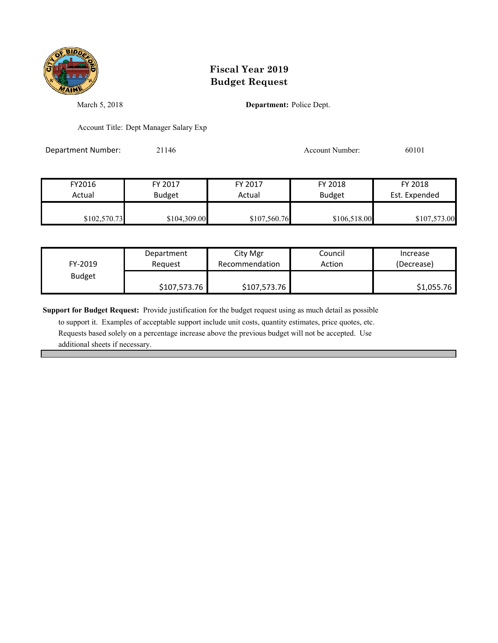

March 5, 2018 **Department:** Police Dept.

Account Title: Dept Manager Salary Exp

Department Number: 21146 21146 Account Number: 60101

| FY2016       | FY 2017       | FY 2017      | FY 2018       | FY 2018       |
|--------------|---------------|--------------|---------------|---------------|
| Actual       | <b>Budget</b> | Actual       | <b>Budget</b> | Est. Expended |
|              |               |              |               |               |
| \$102,570.73 | \$104,309.00  | \$107,560.76 | \$106,518.00  | \$107,573.00  |

| FY-2019       | Department   | City Mgr       | Council | Increase   |
|---------------|--------------|----------------|---------|------------|
|               | Reauest      | Recommendation | Action  | (Decrease) |
| <b>Budget</b> | \$107,573.76 | \$107,573.76   |         | \$1,055.76 |

**Support for Budget Request:** Provide justification for the budget request using as much detail as possible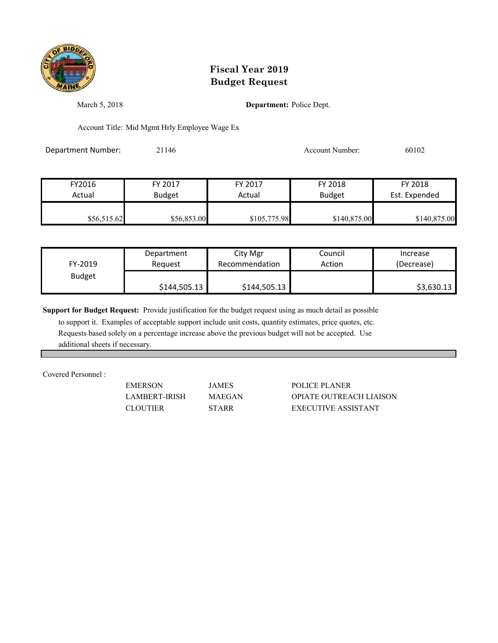

March 5, 2018 **Department:** Police Dept.

Account Title: Mid Mgmt Hrly Employee Wage Ex

Department Number: 21146 Account Number: 60102

| FY2016      | FY 2017       | FY 2017      | FY 2018       | FY 2018       |
|-------------|---------------|--------------|---------------|---------------|
| Actual      | <b>Budget</b> | Actual       | <b>Budget</b> | Est. Expended |
| \$56,515.62 | \$56,853.00   | \$105,775.98 | \$140,875.00  | \$140,875.00  |

| FY-2019       | Department   | City Mgr       | Council | Increase   |
|---------------|--------------|----------------|---------|------------|
|               | Reauest      | Recommendation | Action  | (Decrease) |
| <b>Budget</b> | \$144,505.13 | \$144,505.13   |         | \$3,630.13 |

**Support for Budget Request:** Provide justification for the budget request using as much detail as possible

 to support it. Examples of acceptable support include unit costs, quantity estimates, price quotes, etc. Requests based solely on a percentage increase above the previous budget will not be accepted. Use additional sheets if necessary.

Covered Personnel :

EMERSON JAMES POLICE PLANER LAMBERT-IRISH MAEGAN OPIATE OUTREACH LIAISON CLOUTIER STARR EXECUTIVE ASSISTANT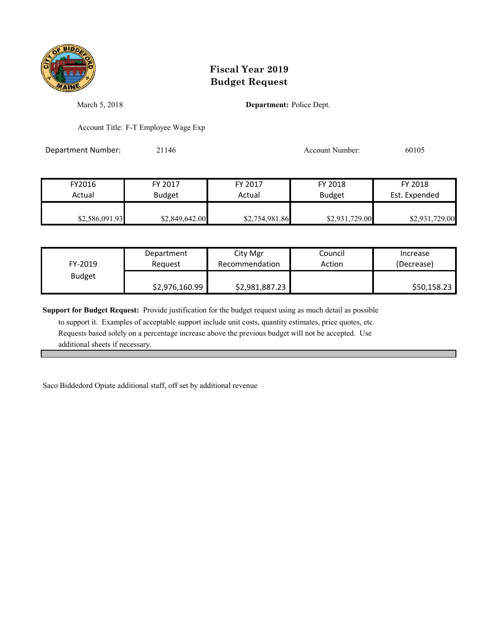

March 5, 2018 **Department:** Police Dept.

Account Title: F-T Employee Wage Exp

Department Number: 21146 21146 Account Number: 60105

| FY2016         | FY 2017        | FY 2017        | FY 2018        | FY 2018        |
|----------------|----------------|----------------|----------------|----------------|
| Actual         | <b>Budget</b>  | Actual         | <b>Budget</b>  | Est. Expended  |
|                |                |                |                |                |
| \$2,586,091.93 | \$2,849,642.00 | \$2,754,981.86 | \$2,931,729.00 | \$2,931,729.00 |

| FY-2019 | Department     | City Mgr       | Council | Increase    |
|---------|----------------|----------------|---------|-------------|
|         | Reauest        | Recommendation | Action  | (Decrease)  |
| Budget  | \$2,976,160.99 | \$2,981,887.23 |         | \$50,158.23 |

**Support for Budget Request:** Provide justification for the budget request using as much detail as possible

 to support it. Examples of acceptable support include unit costs, quantity estimates, price quotes, etc. Requests based solely on a percentage increase above the previous budget will not be accepted. Use additional sheets if necessary.

Saco Biddedord Opiate additional staff, off set by additional revenue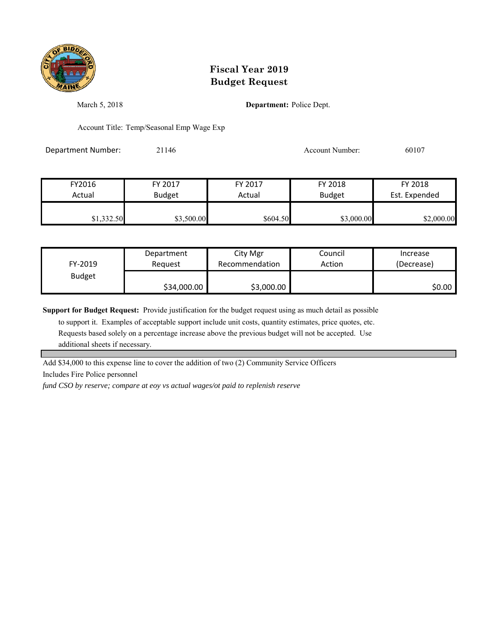

March 5, 2018 **Department:** Police Dept.

Account Title: Temp/Seasonal Emp Wage Exp

Department Number: 21146 20107 2014 Account Number: 60107

| FY2016     | FY 2017       | FY 2017  | FY 2018       | FY 2018       |
|------------|---------------|----------|---------------|---------------|
| Actual     | <b>Budget</b> | Actual   | <b>Budget</b> | Est. Expended |
|            |               |          |               |               |
| \$1,332.50 | \$3,500.00    | \$604.50 | \$3,000.00    | \$2,000.00    |

| FY-2019       | Department  | City Mgr       | Council | Increase   |
|---------------|-------------|----------------|---------|------------|
|               | Reauest     | Recommendation | Action  | (Decrease) |
| <b>Budget</b> | \$34,000.00 | \$3,000.00     |         | \$0.00     |

**Support for Budget Request:** Provide justification for the budget request using as much detail as possible

 to support it. Examples of acceptable support include unit costs, quantity estimates, price quotes, etc. Requests based solely on a percentage increase above the previous budget will not be accepted. Use additional sheets if necessary.

Add \$34,000 to this expense line to cover the addition of two (2) Community Service Officers Includes Fire Police personnel

*fund CSO by reserve; compare at eoy vs actual wages/ot paid to replenish reserve*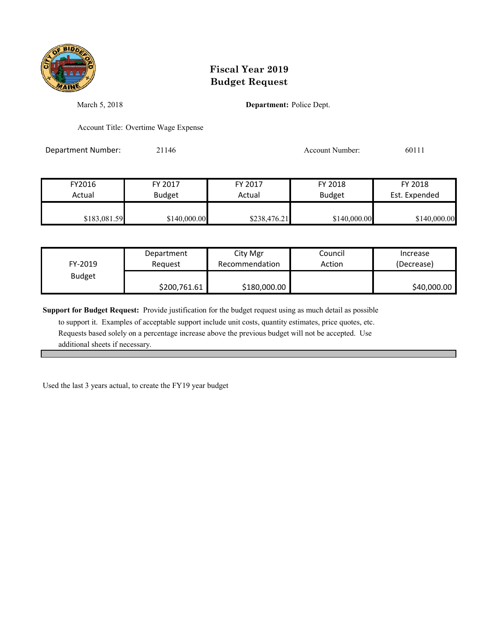

March 5, 2018 **Department:** Police Dept.

Account Title: Overtime Wage Expense

Department Number: 21146 21146 Account Number: 60111

| FY2016       | FY 2017       | FY 2017      | FY 2018       | FY 2018       |
|--------------|---------------|--------------|---------------|---------------|
| Actual       | <b>Budget</b> | Actual       | <b>Budget</b> | Est. Expended |
| \$183,081.59 | \$140,000.00  | \$238,476.21 | \$140,000.00  | \$140,000.00  |

| FY-2019       | Department   | City Mgr       | Council | Increase    |
|---------------|--------------|----------------|---------|-------------|
|               | Reauest      | Recommendation | Action  | (Decrease)  |
| <b>Budget</b> | \$200,761.61 | \$180,000.00   |         | \$40,000.00 |

**Support for Budget Request:** Provide justification for the budget request using as much detail as possible

 to support it. Examples of acceptable support include unit costs, quantity estimates, price quotes, etc. Requests based solely on a percentage increase above the previous budget will not be accepted. Use additional sheets if necessary.

Used the last 3 years actual, to create the FY19 year budget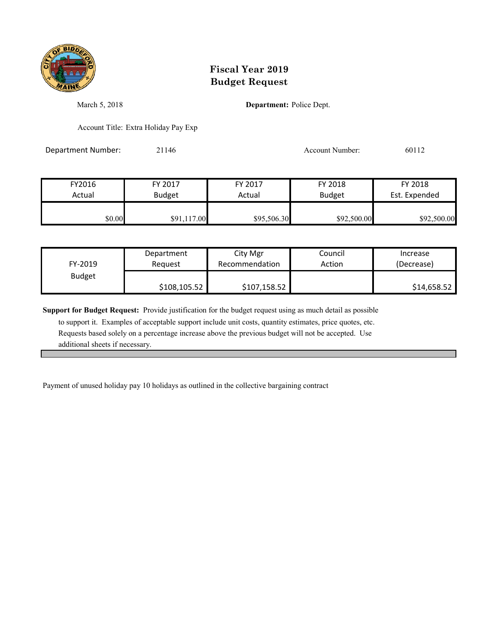

March 5, 2018 **Department:** Police Dept.

Account Title: Extra Holiday Pay Exp

Department Number: 21146 Account Number: 60112

FY2016 FY 2017 FY 2017 FY 2018 FY 2018 Actual Budget **Actual Budget** Actual Budget Est. Expended \$0.00 \$91,117.00 \$95,506.30 \$92,500.00 \$92,500.00

| FY-2019       | Department   | City Mgr       | Council | Increase    |
|---------------|--------------|----------------|---------|-------------|
|               | Reauest      | Recommendation | Action  | (Decrease)  |
| <b>Budget</b> | \$108,105.52 | \$107,158.52   |         | \$14,658.52 |

**Support for Budget Request:** Provide justification for the budget request using as much detail as possible

 to support it. Examples of acceptable support include unit costs, quantity estimates, price quotes, etc. Requests based solely on a percentage increase above the previous budget will not be accepted. Use additional sheets if necessary.

Payment of unused holiday pay 10 holidays as outlined in the collective bargaining contract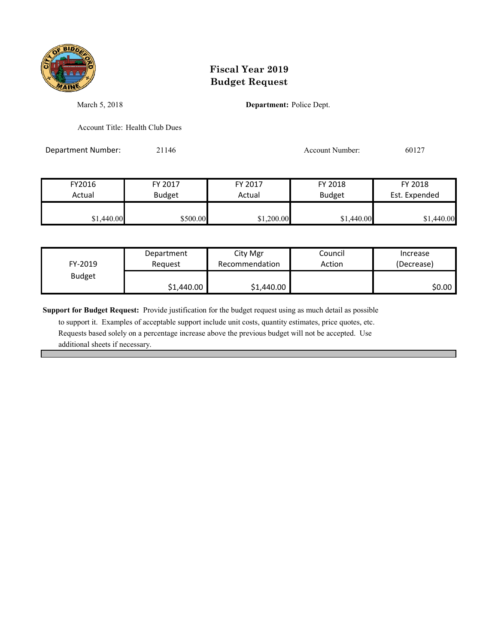

March 5, 2018 **Department:** Police Dept.

Account Title: Health Club Dues

Department Number: 21146 Account Number: 60127

FY2016 FY 2017 FY 2017 FY 2018 FY 2018 Actual Budget **Actual Budget** Actual Budget Est. Expended \$1,440.00 \$500.00 \$500.00 \$1,200.00 \$1,440.00 \$1,440.00

| FY-2019       | Department | City Mgr       | Council | Increase   |
|---------------|------------|----------------|---------|------------|
|               | Reauest    | Recommendation | Action  | (Decrease) |
| <b>Budget</b> | \$1,440.00 | \$1,440.00     |         | S0.00 l    |

**Support for Budget Request:** Provide justification for the budget request using as much detail as possible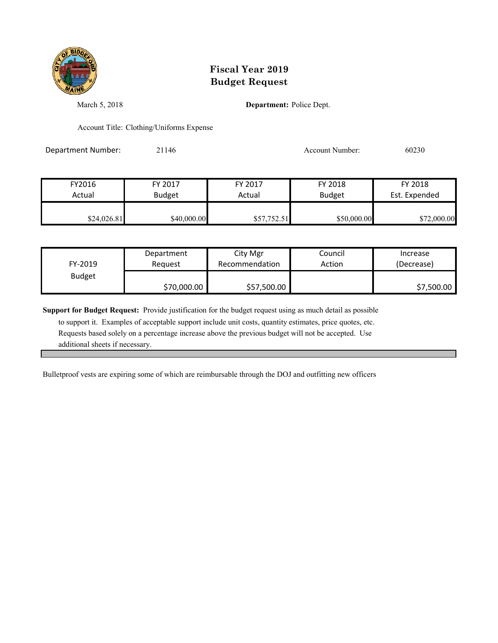

March 5, 2018 **Department:** Police Dept.

Account Title: Clothing/Uniforms Expense

Department Number: 21146 21146 Account Number: 60230

| FY2016      | FY 2017       | FY 2017     | FY 2018       | FY 2018       |
|-------------|---------------|-------------|---------------|---------------|
| Actual      | <b>Budget</b> | Actual      | <b>Budget</b> | Est. Expended |
| \$24,026.81 | \$40,000.00   | \$57,752.51 | \$50,000.00   | \$72,000.00   |

| FY-2019       | Department  | City Mgr       | Council | Increase   |
|---------------|-------------|----------------|---------|------------|
|               | Reauest     | Recommendation | Action  | (Decrease) |
| <b>Budget</b> | \$70,000.00 | \$57,500.00    |         | \$7,500.00 |

**Support for Budget Request:** Provide justification for the budget request using as much detail as possible

 to support it. Examples of acceptable support include unit costs, quantity estimates, price quotes, etc. Requests based solely on a percentage increase above the previous budget will not be accepted. Use additional sheets if necessary.

Bulletproof vests are expiring some of which are reimbursable through the DOJ and outfitting new officers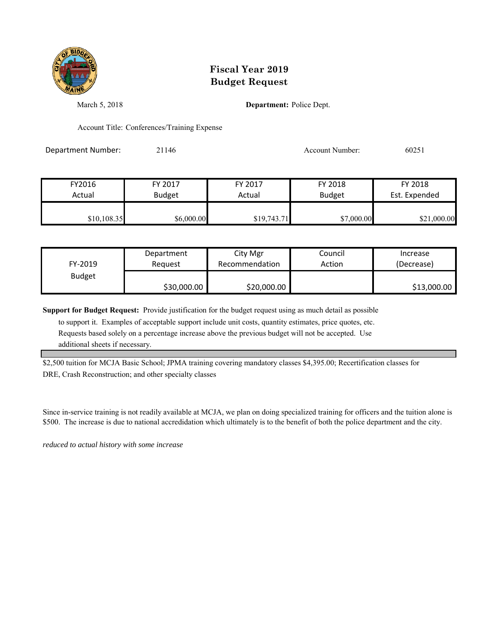

March 5, 2018 **Department:** Police Dept.

Account Title: Conferences/Training Expense

Department Number: 21146 20251

| FY2016      | FY 2017       | FY 2017     | FY 2018       | FY 2018       |
|-------------|---------------|-------------|---------------|---------------|
| Actual      | <b>Budget</b> | Actual      | <b>Budget</b> | Est. Expended |
|             |               |             |               |               |
| \$10,108.35 | \$6,000.00    | \$19,743.71 | \$7,000.00    | \$21,000.00   |

| FY-2019       | Department  | City Mgr       | Council | Increase    |
|---------------|-------------|----------------|---------|-------------|
|               | Reauest     | Recommendation | Action  | (Decrease)  |
| <b>Budget</b> | \$30,000.00 | \$20,000.00    |         | \$13,000.00 |

**Support for Budget Request:** Provide justification for the budget request using as much detail as possible

 to support it. Examples of acceptable support include unit costs, quantity estimates, price quotes, etc. Requests based solely on a percentage increase above the previous budget will not be accepted. Use additional sheets if necessary.

\$2,500 tuition for MCJA Basic School; JPMA training covering mandatory classes \$4,395.00; Recertification classes for DRE, Crash Reconstruction; and other specialty classes

Since in-service training is not readily available at MCJA, we plan on doing specialized training for officers and the tuition alone is \$500. The increase is due to national accredidation which ultimately is to the benefit of both the police department and the city.

*reduced to actual history with some increase*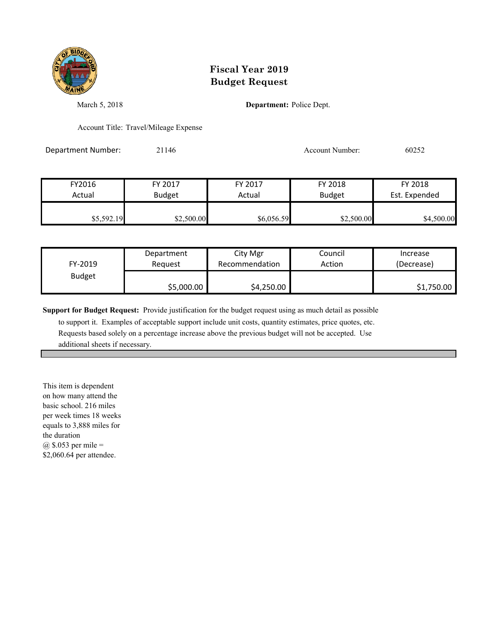

March 5, 2018 **Department:** Police Dept.

Account Title: Travel/Mileage Expense

Department Number: 21146 Account Number: 60252

FY2016 FY 2017 FY 2017 FY 2018 FY 2018 Actual Budget **Actual Budget** Actual Budget Est. Expended \$5,592.19 \$2,500.00 \$2,500.00 \$6,056.59 \$2,500.00 \$4,500.00

| FY-2019       | Department | City Mgr       | Council | Increase   |
|---------------|------------|----------------|---------|------------|
|               | Reauest    | Recommendation | Action  | (Decrease) |
| <b>Budget</b> | \$5,000.00 | \$4,250.00     |         | \$1,750.00 |

**Support for Budget Request:** Provide justification for the budget request using as much detail as possible

 to support it. Examples of acceptable support include unit costs, quantity estimates, price quotes, etc. Requests based solely on a percentage increase above the previous budget will not be accepted. Use additional sheets if necessary.

This item is dependent on how many attend the basic school. 216 miles per week times 18 weeks equals to 3,888 miles for the duration @ \$.053 per mile = \$2,060.64 per attendee.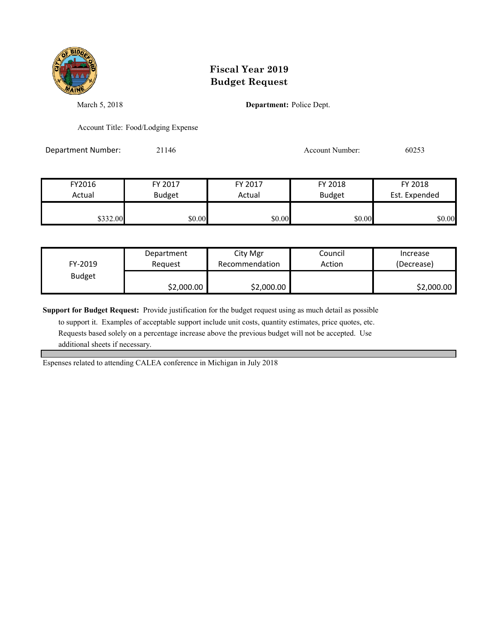

March 5, 2018 **Department:** Police Dept.

Account Title: Food/Lodging Expense

Department Number: 21146 21146 Account Number: 60253

| FY2016   | FY 2017       | FY 2017 | FY 2018       | FY 2018       |
|----------|---------------|---------|---------------|---------------|
| Actual   | <b>Budget</b> | Actual  | <b>Budget</b> | Est. Expended |
|          |               |         |               |               |
| \$332.00 | \$0.00        | \$0.00  | \$0.00        | \$0.00        |

| FY-2019       | Department | City Mgr       | Council | Increase   |
|---------------|------------|----------------|---------|------------|
|               | Reauest    | Recommendation | Action  | (Decrease) |
| <b>Budget</b> | \$2,000.00 | \$2,000.00     |         | \$2,000.00 |

**Support for Budget Request:** Provide justification for the budget request using as much detail as possible

 to support it. Examples of acceptable support include unit costs, quantity estimates, price quotes, etc. Requests based solely on a percentage increase above the previous budget will not be accepted. Use additional sheets if necessary.

Espenses related to attending CALEA conference in Michigan in July 2018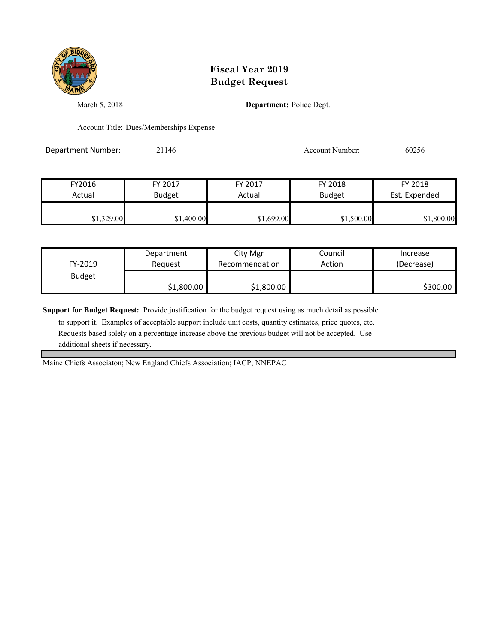

March 5, 2018 **Department:** Police Dept.

Account Title: Dues/Memberships Expense

Department Number: 21146 21146 Account Number: 60256

| FY2016     | FY 2017       | FY 2017    | FY 2018       | FY 2018       |
|------------|---------------|------------|---------------|---------------|
| Actual     | <b>Budget</b> | Actual     | <b>Budget</b> | Est. Expended |
| \$1,329.00 | \$1,400.00    | \$1,699.00 | \$1,500.00    | \$1,800.00    |

| FY-2019       | Department | City Mgr       | Council | Increase   |
|---------------|------------|----------------|---------|------------|
|               | Reauest    | Recommendation | Action  | (Decrease) |
| <b>Budget</b> | \$1,800.00 | \$1,800.00     |         | \$300.00   |

**Support for Budget Request:** Provide justification for the budget request using as much detail as possible

 to support it. Examples of acceptable support include unit costs, quantity estimates, price quotes, etc. Requests based solely on a percentage increase above the previous budget will not be accepted. Use additional sheets if necessary.

Maine Chiefs Associaton; New England Chiefs Association; IACP; NNEPAC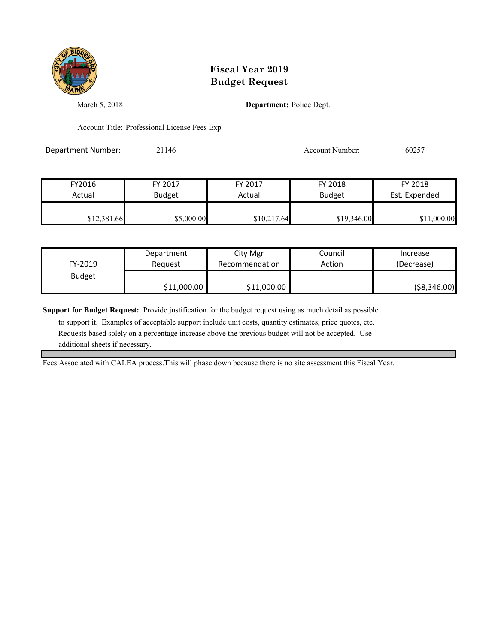

March 5, 2018 **Department:** Police Dept.

Account Title: Professional License Fees Exp

Department Number: 21146 Account Number: 60257

| FY2016      | FY 2017       | FY 2017     | FY 2018       | FY 2018       |
|-------------|---------------|-------------|---------------|---------------|
| Actual      | <b>Budget</b> | Actual      | <b>Budget</b> | Est. Expended |
|             |               |             |               |               |
| \$12,381.66 | \$5,000.00    | \$10,217.64 | \$19,346.00   | \$11,000.00   |

| FY-2019       | Department  | City Mgr       | Council | Increase      |
|---------------|-------------|----------------|---------|---------------|
|               | Reauest     | Recommendation | Action  | (Decrease)    |
| <b>Budget</b> | \$11,000.00 | \$11,000.00    |         | ( \$8,346.00) |

**Support for Budget Request:** Provide justification for the budget request using as much detail as possible

 to support it. Examples of acceptable support include unit costs, quantity estimates, price quotes, etc. Requests based solely on a percentage increase above the previous budget will not be accepted. Use additional sheets if necessary.

Fees Associated with CALEA process.This will phase down because there is no site assessment this Fiscal Year.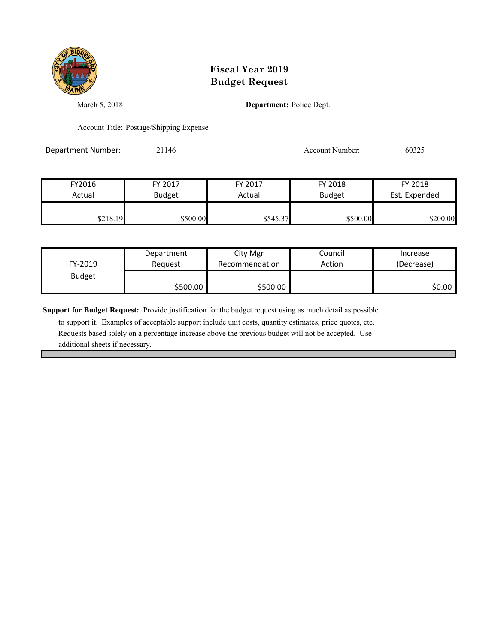

March 5, 2018 **Department:** Police Dept.

Account Title: Postage/Shipping Expense

Department Number: 21146 21146 Account Number: 60325

FY2016 FY 2017 FY 2017 FY 2018 FY 2018 Actual Budget **Actual Budget** Actual Budget Est. Expended \$218.19 \$500.00 \$500.00 \$545.37 \$500.00 \$200.00

| FY-2019       | Department | City Mgr       | Council | Increase   |
|---------------|------------|----------------|---------|------------|
|               | Reauest    | Recommendation | Action  | (Decrease) |
| <b>Budget</b> | \$500.00   | \$500.00       |         | \$0.00∣    |

**Support for Budget Request:** Provide justification for the budget request using as much detail as possible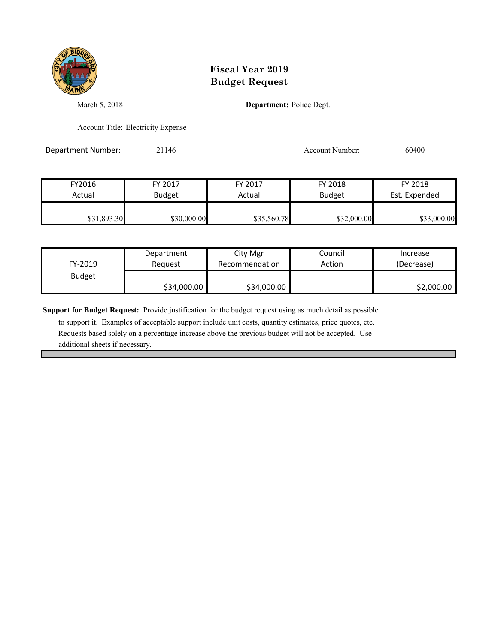

March 5, 2018 **Department:** Police Dept.

Account Title: Electricity Expense

Department Number: 21146 21146 Account Number: 60400

| FY2016      | FY 2017       | FY 2017     | FY 2018       | FY 2018       |
|-------------|---------------|-------------|---------------|---------------|
| Actual      | <b>Budget</b> | Actual      | <b>Budget</b> | Est. Expended |
| \$31,893.30 | \$30,000.00   | \$35,560.78 | \$32,000.00   | \$33,000.00   |

| FY-2019       | Department  | City Mgr       | Council | Increase   |
|---------------|-------------|----------------|---------|------------|
|               | Reauest     | Recommendation | Action  | (Decrease) |
| <b>Budget</b> | \$34,000.00 | \$34,000.00    |         | \$2,000.00 |

**Support for Budget Request:** Provide justification for the budget request using as much detail as possible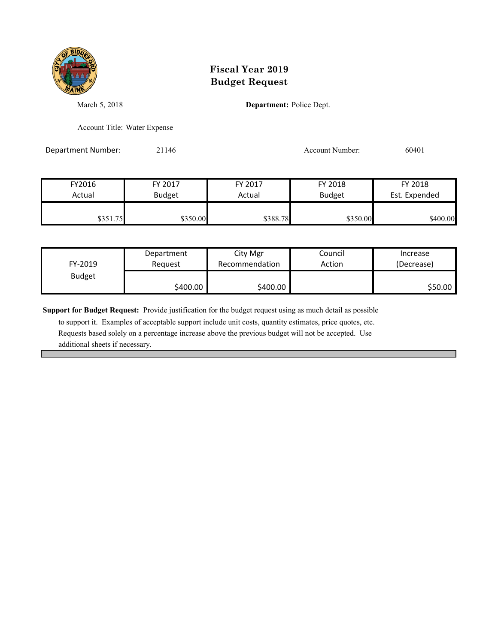

March 5, 2018 **Department:** Police Dept.

Account Title: Water Expense

Department Number: 21146 21146 Account Number: 60401

| FY2016   | FY 2017       | FY 2017  | FY 2018       | FY 2018       |
|----------|---------------|----------|---------------|---------------|
| Actual   | <b>Budget</b> | Actual   | <b>Budget</b> | Est. Expended |
|          |               |          |               |               |
| \$351.75 | \$350.00      | \$388.78 | \$350.00      | \$400.00      |

| FY-2019       | Department | City Mgr       | Council | Increase   |
|---------------|------------|----------------|---------|------------|
|               | Reauest    | Recommendation | Action  | (Decrease) |
| <b>Budget</b> | \$400.00   | \$400.00       |         | \$50.00    |

**Support for Budget Request:** Provide justification for the budget request using as much detail as possible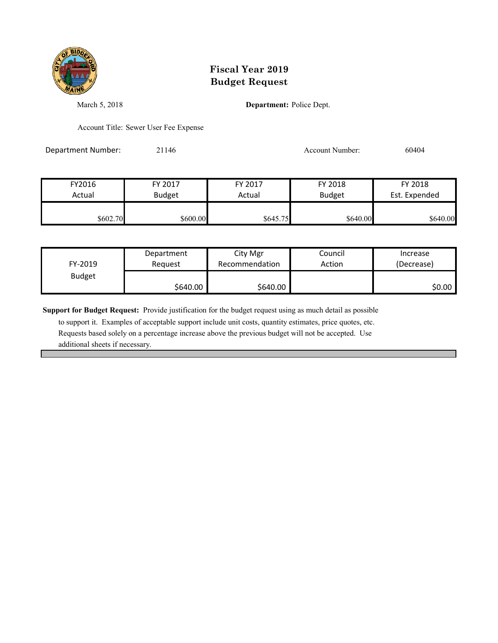

March 5, 2018 **Department:** Police Dept.

Account Title: Sewer User Fee Expense

Department Number: 21146 21146 Account Number: 60404

| FY2016   | FY 2017       | FY 2017  | FY 2018       | FY 2018       |
|----------|---------------|----------|---------------|---------------|
| Actual   | <b>Budget</b> | Actual   | <b>Budget</b> | Est. Expended |
|          |               |          |               |               |
| \$602.70 | \$600.00      | \$645.75 | \$640.00      | \$640.00      |

| FY-2019       | Department | City Mgr       | Council | Increase   |
|---------------|------------|----------------|---------|------------|
|               | Reauest    | Recommendation | Action  | (Decrease) |
| <b>Budget</b> | \$640.00   | \$640.00       |         | \$0.00     |

**Support for Budget Request:** Provide justification for the budget request using as much detail as possible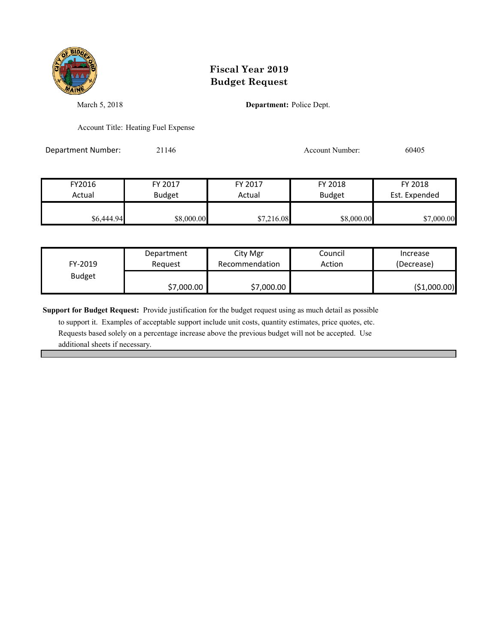

March 5, 2018 **Department:** Police Dept.

Account Title: Heating Fuel Expense

Department Number: 21146 2010 2014 Account Number: 60405

FY2016 FY 2017 FY 2017 FY 2018 FY 2018 Actual Budget **Actual Budget** Actual Budget Est. Expended  $$6,444.94$   $$8,000.00$   $$7,216.08$   $$8,000.00$   $$7,000.00$ 

| FY-2019 | Department | City Mgr       | Council | Increase     |
|---------|------------|----------------|---------|--------------|
|         | Reauest    | Recommendation | Action  | (Decrease)   |
| Budget  | \$7,000.00 | \$7,000.00     |         | (\$1,000.00) |

**Support for Budget Request:** Provide justification for the budget request using as much detail as possible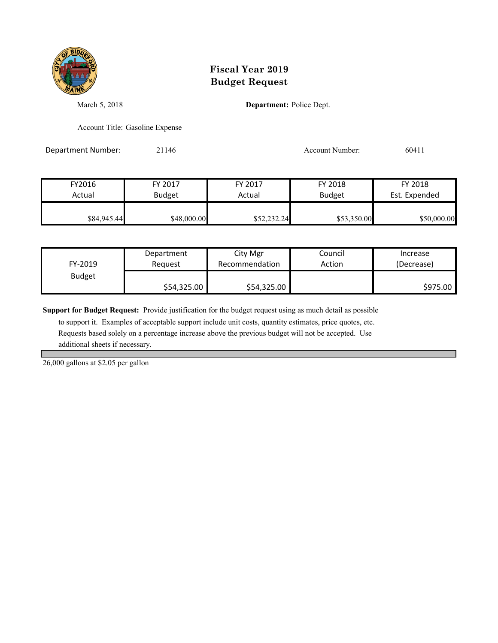

March 5, 2018 **Department:** Police Dept.

Account Title: Gasoline Expense

Department Number: 21146 2001 1146 Account Number: 60411

FY2016 FY 2017 FY 2017 FY 2018 FY 2018 Actual Budget **Actual Budget** Actual Budget Est. Expended **\$84,945.44** \$48,000.00 \$52,232.24 \$53,350.00 \$50,000.00

| FY-2019       | Department  | City Mgr       | Council | Increase   |
|---------------|-------------|----------------|---------|------------|
|               | Reauest     | Recommendation | Action  | (Decrease) |
| <b>Budget</b> | \$54,325.00 | \$54,325.00    |         | \$975.00   |

**Support for Budget Request:** Provide justification for the budget request using as much detail as possible

 to support it. Examples of acceptable support include unit costs, quantity estimates, price quotes, etc. Requests based solely on a percentage increase above the previous budget will not be accepted. Use additional sheets if necessary.

26,000 gallons at \$2.05 per gallon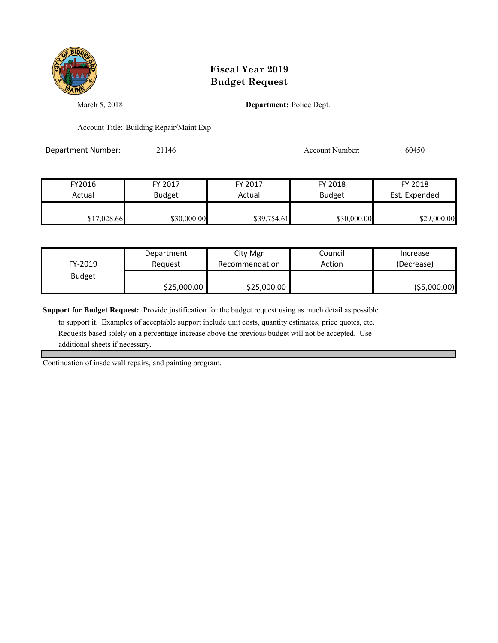

March 5, 2018 **Department:** Police Dept.

Account Title: Building Repair/Maint Exp

Department Number: 21146 21146 Account Number: 60450

| FY2016      | FY 2017       | FY 2017     | FY 2018       | FY 2018       |
|-------------|---------------|-------------|---------------|---------------|
| Actual      | <b>Budget</b> | Actual      | <b>Budget</b> | Est. Expended |
|             |               |             |               |               |
| \$17,028.66 | \$30,000.00   | \$39,754.61 | \$30,000.00   | \$29,000.00   |

| FY-2019       | Department  | City Mgr       | Council | Increase      |
|---------------|-------------|----------------|---------|---------------|
|               | Reauest     | Recommendation | Action  | (Decrease)    |
| <b>Budget</b> | \$25,000.00 | \$25,000.00    |         | ( \$5,000.00) |

**Support for Budget Request:** Provide justification for the budget request using as much detail as possible

 to support it. Examples of acceptable support include unit costs, quantity estimates, price quotes, etc. Requests based solely on a percentage increase above the previous budget will not be accepted. Use additional sheets if necessary.

Continuation of insde wall repairs, and painting program.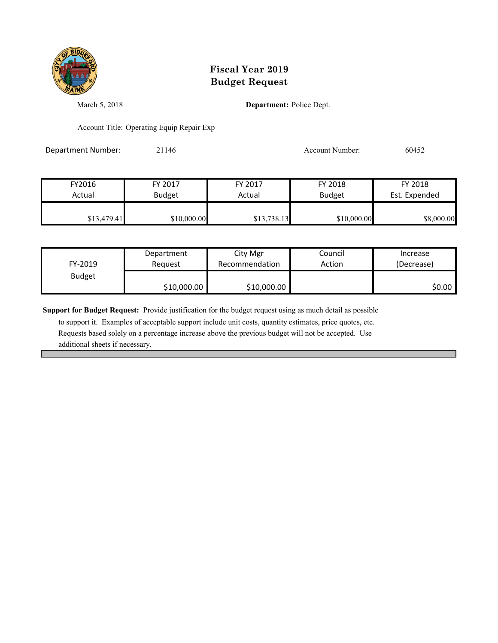

March 5, 2018 **Department:** Police Dept.

Account Title: Operating Equip Repair Exp

Department Number: 21146 21146 Account Number: 60452

| FY2016      | FY 2017       | FY 2017     | FY 2018       | FY 2018       |
|-------------|---------------|-------------|---------------|---------------|
| Actual      | <b>Budget</b> | Actual      | <b>Budget</b> | Est. Expended |
| \$13,479.41 | \$10,000.00   | \$13,738.13 | \$10,000.00   | \$8,000.00    |

| FY-2019       | Department  | City Mgr       | Council | Increase   |
|---------------|-------------|----------------|---------|------------|
|               | Reauest     | Recommendation | Action  | (Decrease) |
| <b>Budget</b> | \$10,000.00 | \$10,000.00    |         | \$0.00     |

**Support for Budget Request:** Provide justification for the budget request using as much detail as possible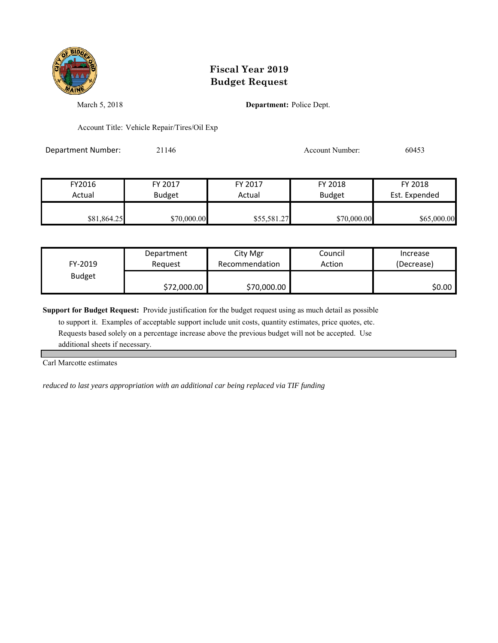

March 5, 2018 **Department:** Police Dept.

Account Title: Vehicle Repair/Tires/Oil Exp

Department Number: 21146 200453

| FY2016      | FY 2017       | FY 2017     | FY 2018       | FY 2018       |
|-------------|---------------|-------------|---------------|---------------|
| Actual      | <b>Budget</b> | Actual      | <b>Budget</b> | Est. Expended |
| \$81,864.25 | \$70,000.00   | \$55,581.27 | \$70,000.00   | \$65,000.00   |

| FY-2019       | Department  | City Mgr       | Council | Increase   |
|---------------|-------------|----------------|---------|------------|
|               | Reauest     | Recommendation | Action  | (Decrease) |
| <b>Budget</b> | \$72,000.00 | \$70,000.00    |         | S0.00 I    |

**Support for Budget Request:** Provide justification for the budget request using as much detail as possible

 to support it. Examples of acceptable support include unit costs, quantity estimates, price quotes, etc. Requests based solely on a percentage increase above the previous budget will not be accepted. Use additional sheets if necessary.

Carl Marcotte estimates

*reduced to last years appropriation with an additional car being replaced via TIF funding*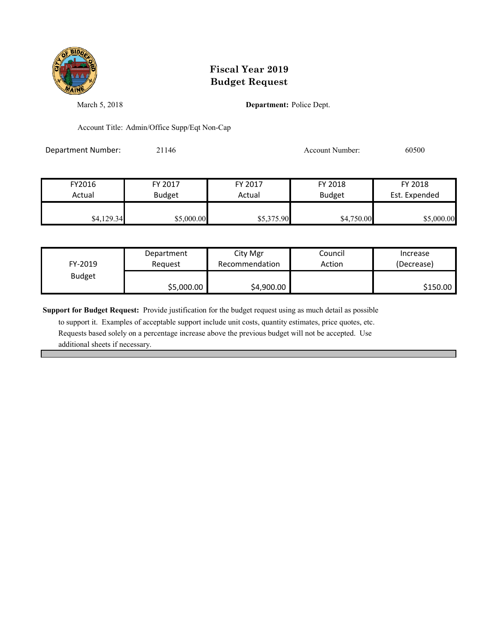

March 5, 2018 **Department:** Police Dept.

Account Title: Admin/Office Supp/Eqt Non-Cap

Department Number: 21146 21146 Account Number: 60500

| FY2016     | FY 2017       | FY 2017    | FY 2018       | FY 2018       |
|------------|---------------|------------|---------------|---------------|
| Actual     | <b>Budget</b> | Actual     | <b>Budget</b> | Est. Expended |
|            |               |            |               |               |
| \$4,129.34 | \$5,000.00    | \$5,375.90 | \$4,750.00    | \$5,000.00    |

| FY-2019       | Department | City Mgr       | Council | Increase   |
|---------------|------------|----------------|---------|------------|
|               | Reauest    | Recommendation | Action  | (Decrease) |
| <b>Budget</b> | \$5,000.00 | \$4,900.00     |         | \$150.00   |

**Support for Budget Request:** Provide justification for the budget request using as much detail as possible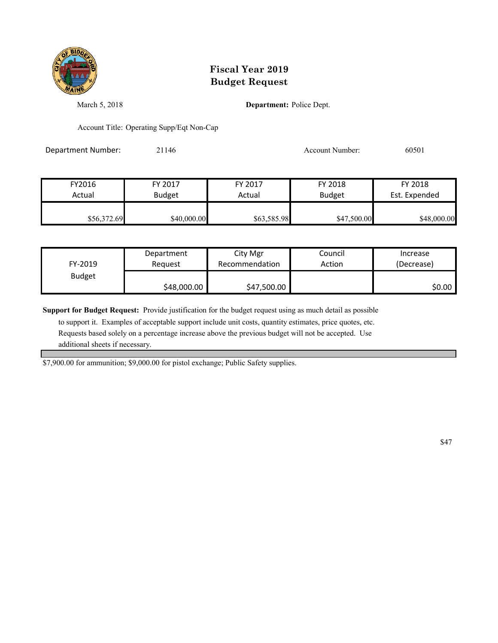

March 5, 2018 **Department:** Police Dept.

Account Title: Operating Supp/Eqt Non-Cap

Department Number: 21146 21146 Account Number: 60501

| FY2016      | FY 2017       | FY 2017     | FY 2018       | FY 2018       |
|-------------|---------------|-------------|---------------|---------------|
| Actual      | <b>Budget</b> | Actual      | <b>Budget</b> | Est. Expended |
| \$56,372.69 | \$40,000.00   | \$63,585.98 | \$47,500.00   | \$48,000.00   |

| FY-2019       | Department  | City Mgr       | Council | Increase   |
|---------------|-------------|----------------|---------|------------|
|               | Reauest     | Recommendation | Action  | (Decrease) |
| <b>Budget</b> | \$48,000.00 | \$47,500.00    |         | \$0.00     |

**Support for Budget Request:** Provide justification for the budget request using as much detail as possible

 to support it. Examples of acceptable support include unit costs, quantity estimates, price quotes, etc. Requests based solely on a percentage increase above the previous budget will not be accepted. Use additional sheets if necessary.

\$7,900.00 for ammunition; \$9,000.00 for pistol exchange; Public Safety supplies.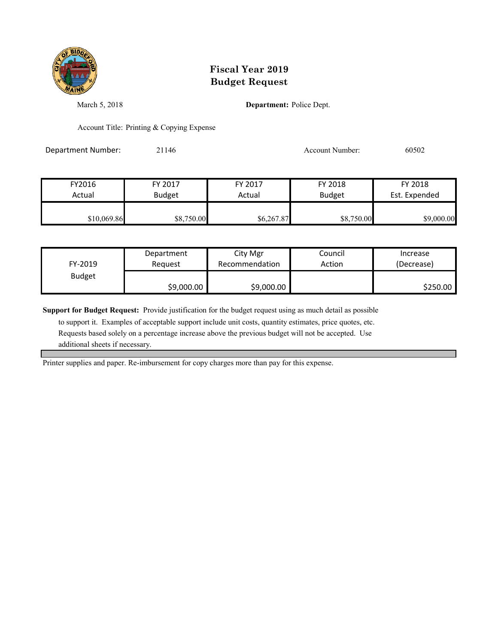

March 5, 2018 **Department:** Police Dept.

Account Title: Printing & Copying Expense

Department Number: 21146 21146 Account Number: 60502

| FY2016      | FY 2017       | FY 2017    | FY 2018       | FY 2018       |
|-------------|---------------|------------|---------------|---------------|
| Actual      | <b>Budget</b> | Actual     | <b>Budget</b> | Est. Expended |
| \$10,069.86 | \$8,750.00    | \$6,267.87 | \$8,750.00    | \$9,000.00    |

| FY-2019       | Department | City Mgr       | Council | Increase   |
|---------------|------------|----------------|---------|------------|
|               | Reauest    | Recommendation | Action  | (Decrease) |
| <b>Budget</b> | \$9,000.00 | \$9,000.00     |         | \$250.00   |

**Support for Budget Request:** Provide justification for the budget request using as much detail as possible

 to support it. Examples of acceptable support include unit costs, quantity estimates, price quotes, etc. Requests based solely on a percentage increase above the previous budget will not be accepted. Use additional sheets if necessary.

Printer supplies and paper. Re-imbursement for copy charges more than pay for this expense.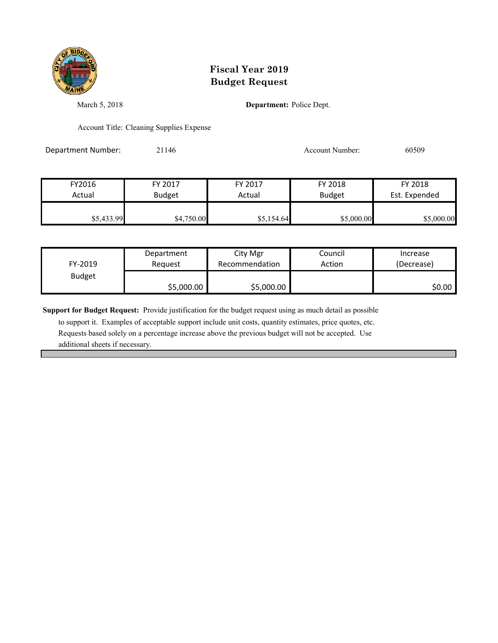

March 5, 2018 **Department:** Police Dept.

Account Title: Cleaning Supplies Expense

Department Number: 21146 20509 20146 Account Number: 60509

FY2016 FY 2017 FY 2017 FY 2018 FY 2018 Actual Budget **Actual Budget** Actual Budget Est. Expended \$5,433.99 \$4,750.00 \$5,154.64 \$5,000.00 \$5,000.00

| FY-2019       | Department | City Mgr       | Council | Increase   |
|---------------|------------|----------------|---------|------------|
|               | Reauest    | Recommendation | Action  | (Decrease) |
| <b>Budget</b> | \$5,000.00 | \$5,000.00     |         | \$0.00     |

**Support for Budget Request:** Provide justification for the budget request using as much detail as possible